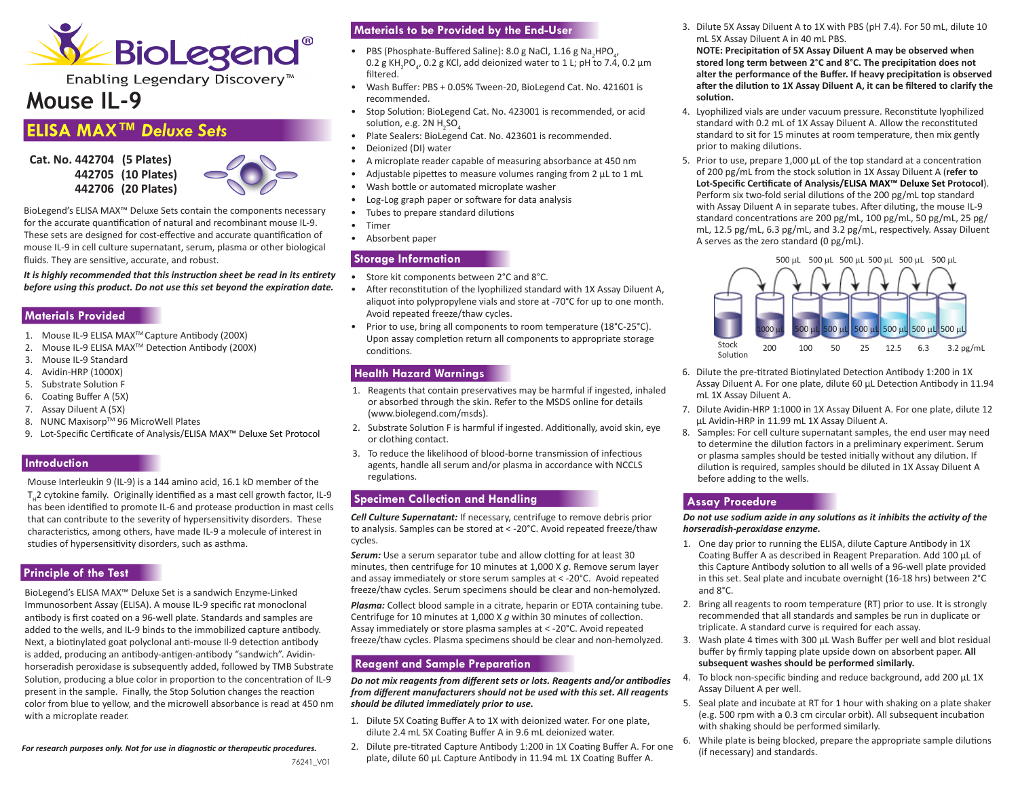

Enabling Legendary Discovery<sup>™</sup>

# **Mouse IL-9**

## **ELISA MAX™** *Deluxe Sets*

**Cat. No. 442704 (5 Plates) 442705 (10 Plates) 442706 (20 Plates)** 



BioLegend's ELISA MAX™ Deluxe Sets contain the components necessary for the accurate quantification of natural and recombinant mouse IL-9. These sets are designed for cost-effective and accurate quantification of mouse IL-9 in cell culture supernatant, serum, plasma or other biological fluids. They are sensitive, accurate, and robust.

*It is highly recommended that this instruction sheet be read in its entirety before using this product. Do not use this set beyond the expiration date.*

#### **Materials Provided**

- 1. Mouse IL-9 ELISA MAXTM Capture Antibody (200X)
- 2. Mouse IL-9 ELISA MAXTM Detection Antibody (200X)
- 3. Mouse IL-9 Standard
- 4. Avidin-HRP (1000X)
- 5. Substrate Solution F
- 6. Coating Buffer A (5X)
- 7. Assay Diluent A (5X)
- 8. NUNC Maxisorp™ 96 MicroWell Plates
- 9. Lot-Specific Certificate of Analysis/ELISA MAX™ Deluxe Set Protocol

#### **Introduction**

Mouse Interleukin 9 (IL-9) is a 144 amino acid, 16.1 kD member of the T<sub>1</sub>2 cytokine family. Originally identified as a mast cell growth factor, IL-9 has been identified to promote IL-6 and protease production in mast cells that can contribute to the severity of hypersensitivity disorders. These characteristics, among others, have made IL-9 a molecule of interest in studies of hypersensitivity disorders, such as asthma.

## **Principle of the Test**

BioLegend's ELISA MAX™ Deluxe Set is a sandwich Enzyme-Linked Immunosorbent Assay (ELISA). A mouse IL-9 specific rat monoclonal antibody is first coated on a 96-well plate. Standards and samples are added to the wells, and IL-9 binds to the immobilized capture antibody. Next, a biotinylated goat polyclonal anti-mouse Il-9 detection antibody is added, producing an antibody-antigen-antibody "sandwich". Avidinhorseradish peroxidase is subsequently added, followed by TMB Substrate Solution, producing a blue color in proportion to the concentration of IL-9 present in the sample. Finally, the Stop Solution changes the reaction color from blue to yellow, and the microwell absorbance is read at 450 nm with a microplate reader.

*For research purposes only. Not for use in diagnostic or therapeutic procedures.*

## **Materials to be Provided by the End-User**

- PBS (Phosphate-Buffered Saline): 8.0 g NaCl, 1.16 g Na<sub>2</sub>HPO<sub>4</sub>, 0.2 g KH<sub>2</sub>PO<sub>4</sub>, 0.2 g KCl, add deionized water to 1 L; pH to 7.4, 0.2 μm filtered.
- Wash Buffer: PBS + 0.05% Tween-20, BioLegend Cat. No. 421601 is recommended.
- Stop Solution: BioLegend Cat. No. 423001 is recommended, or acid solution, e.g. 2N  $H_2$ SO $_4$
- Plate Sealers: BioLegend Cat. No. 423601 is recommended.
- Deionized (DI) water
- A microplate reader capable of measuring absorbance at 450 nm
- Adjustable pipettes to measure volumes ranging from 2 μL to 1 mL
- Wash bottle or automated microplate washer
- Log-Log graph paper or software for data analysis
- Tubes to prepare standard dilutions
- Timer
- Absorbent paper

#### **Storage Information**

- Store kit components between 2°C and 8°C.
- After reconstitution of the lyophilized standard with 1X Assay Diluent A, aliquot into polypropylene vials and store at -70°C for up to one month. Avoid repeated freeze/thaw cycles.
- Prior to use, bring all components to room temperature (18°C-25°C). Upon assay completion return all components to appropriate storage conditions.

## **Health Hazard Warnings**

- 1. Reagents that contain preservatives may be harmful if ingested, inhaled or absorbed through the skin. Refer to the MSDS online for details (www.biolegend.com/msds).
- 2. Substrate Solution F is harmful if ingested. Additionally, avoid skin, eye or clothing contact.
- 3. To reduce the likelihood of blood-borne transmission of infectious agents, handle all serum and/or plasma in accordance with NCCLS regulations.

## **Specimen Collection and Handling**

*Cell Culture Supernatant:* If necessary, centrifuge to remove debris prior to analysis. Samples can be stored at < -20°C. Avoid repeated freeze/thaw cycles.

**Serum:** Use a serum separator tube and allow clotting for at least 30 minutes, then centrifuge for 10 minutes at 1,000 X *g*. Remove serum layer and assay immediately or store serum samples at < -20°C. Avoid repeated freeze/thaw cycles. Serum specimens should be clear and non-hemolyzed.

*Plasma:* Collect blood sample in a citrate, heparin or EDTA containing tube. Centrifuge for 10 minutes at 1,000 X *g* within 30 minutes of collection. Assay immediately or store plasma samples at < -20°C. Avoid repeated freeze/thaw cycles. Plasma specimens should be clear and non-hemolyzed.

## **Reagent and Sample Preparation**

*Do not mix reagents from different sets or lots. Reagents and/or antibodies from different manufacturers should not be used with this set. All reagents should be diluted immediately prior to use.*

- 1. Dilute 5X Coating Buffer A to 1X with deionized water. For one plate, dilute 2.4 mL 5X Coating Buffer A in 9.6 mL deionized water.
- 2. Dilute pre-titrated Capture Antibody 1:200 in 1X Coating Buffer A. For one plate, dilute 60 μL Capture Antibody in 11.94 mL 1X Coating Buffer A.

3. Dilute 5X Assay Diluent A to 1X with PBS (pH 7.4). For 50 mL, dilute 10 mL 5X Assay Diluent A in 40 mL PBS.

**NOTE: Precipitation of 5X Assay Diluent A may be observed when stored long term between 2**°**C and 8**°**C. The precipitation does not alter the performance of the Buffer. If heavy precipitation is observed after the dilution to 1X Assay Diluent A, it can be filtered to clarify the solution.**

- 4. Lyophilized vials are under vacuum pressure. Reconstitute lyophilized standard with 0.2 mL of 1X Assay Diluent A. Allow the reconstituted standard to sit for 15 minutes at room temperature, then mix gently prior to making dilutions.
- 5. Prior to use, prepare 1,000 μL of the top standard at a concentration of 200 pg/mL from the stock solution in 1X Assay Diluent A (**refer to Lot-Specific Certificate of Analysis/ELISA MAX™ Deluxe Set Protocol**). Perform six two-fold serial dilutions of the 200 pg/mL top standard with Assay Diluent A in separate tubes. After diluting, the mouse IL-9 standard concentrations are 200 pg/mL, 100 pg/mL, 50 pg/mL, 25 pg/ mL, 12.5 pg/mL, 6.3 pg/mL, and 3.2 pg/mL, respectively. Assay Diluent A serves as the zero standard (0 pg/mL).



- 6. Dilute the pre-titrated Biotinylated Detection Antibody 1:200 in 1X Assay Diluent A. For one plate, dilute 60 μL Detection Antibody in 11.94 mL 1X Assay Diluent A.
- 7. Dilute Avidin-HRP 1:1000 in 1X Assay Diluent A. For one plate, dilute 12 μL Avidin-HRP in 11.99 mL 1X Assay Diluent A.
- 8. Samples: For cell culture supernatant samples, the end user may need to determine the dilution factors in a preliminary experiment. Serum or plasma samples should be tested initially without any dilution. If dilution is required, samples should be diluted in 1X Assay Diluent A before adding to the wells.

## **Assay Procedure**

*Do not use sodium azide in any solutions as it inhibits the activity of the horseradish-peroxidase enzyme.* 

- 1. One day prior to running the ELISA, dilute Capture Antibody in 1X Coating Buffer A as described in Reagent Preparation. Add 100 μL of this Capture Antibody solution to all wells of a 96-well plate provided in this set. Seal plate and incubate overnight (16-18 hrs) between 2°C and 8°C.
- 2. Bring all reagents to room temperature (RT) prior to use. It is strongly recommended that all standards and samples be run in duplicate or triplicate. A standard curve is required for each assay.
- 3. Wash plate 4 times with 300 μL Wash Buffer per well and blot residual buffer by firmly tapping plate upside down on absorbent paper. **All subsequent washes should be performed similarly.**
- 4. To block non-specific binding and reduce background, add 200 μL 1X Assay Diluent A per well.
- 5. Seal plate and incubate at RT for 1 hour with shaking on a plate shaker (e.g. 500 rpm with a 0.3 cm circular orbit). All subsequent incubation with shaking should be performed similarly.
- 6. While plate is being blocked, prepare the appropriate sample dilutions (if necessary) and standards.